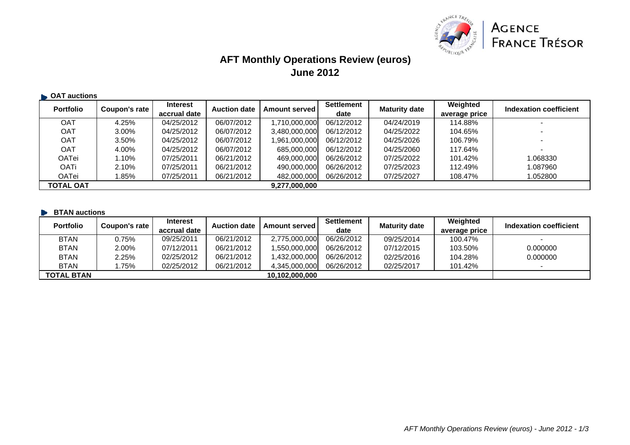

## **AFT Monthly Operations Review (euros) June 2012**

| <b>CAT auctions</b> |               |                 |                     |                        |            |                      |               |                          |
|---------------------|---------------|-----------------|---------------------|------------------------|------------|----------------------|---------------|--------------------------|
| <b>Portfolio</b>    | Coupon's rate | <b>Interest</b> | <b>Auction date</b> | <b>Amount served  </b> | Settlement | <b>Maturity date</b> | Weighted      | Indexation coefficient   |
|                     |               | accrual date    |                     |                        | date       |                      | average price |                          |
| OAT                 | 4.25%         | 04/25/2012      | 06/07/2012          | 1,710,000,000          | 06/12/2012 | 04/24/2019           | 114.88%       |                          |
| <b>OAT</b>          | 3.00%         | 04/25/2012      | 06/07/2012          | 3,480,000,000          | 06/12/2012 | 04/25/2022           | 104.65%       |                          |
| <b>OAT</b>          | 3.50%         | 04/25/2012      | 06/07/2012          | 1,961,000,000          | 06/12/2012 | 04/25/2026           | 106.79%       | $\overline{\phantom{0}}$ |
| <b>OAT</b>          | 4.00%         | 04/25/2012      | 06/07/2012          | 685,000,000            | 06/12/2012 | 04/25/2060           | 117.64%       |                          |
| <b>OATei</b>        | 1.10%         | 07/25/2011      | 06/21/2012          | 469,000,000            | 06/26/2012 | 07/25/2022           | 101.42%       | 1.068330                 |
| <b>OATi</b>         | 2.10%         | 07/25/2011      | 06/21/2012          | 490,000,000            | 06/26/2012 | 07/25/2023           | 112.49%       | 1.087960                 |
| <b>OATei</b>        | 1.85%         | 07/25/2011      | 06/21/2012          | 482,000,000            | 06/26/2012 | 07/25/2027           | 108.47%       | 1.052800                 |
| <b>TOTAL OAT</b>    |               |                 |                     | 9,277,000,000          |            |                      |               |                          |

|  | <b>BTAN auctions</b> |
|--|----------------------|
|  |                      |

| <b>Portfolio</b>  | Coupon's rate | <b>Interest</b><br>accrual date | <b>Auction date</b> | Amount served  | <b>Settlement</b><br>date | <b>Maturity date</b> | Weighted<br>average price | Indexation coefficient |
|-------------------|---------------|---------------------------------|---------------------|----------------|---------------------------|----------------------|---------------------------|------------------------|
| <b>BTAN</b>       | 0.75%         | 09/25/2011                      | 06/21/2012          | 2,775,000,000  | 06/26/2012                | 09/25/2014           | 100.47%                   | -                      |
| <b>BTAN</b>       | 2.00%         | 07/12/2011                      | 06/21/2012          | 1,550,000,000  | 06/26/2012                | 07/12/2015           | 103.50%                   | 0.000000               |
| <b>BTAN</b>       | $2.25\%$      | 02/25/2012                      | 06/21/2012          | 1,432,000,000  | 06/26/2012                | 02/25/2016           | 104.28%                   | 0.000000               |
| <b>BTAN</b>       | .75%          | 02/25/2012                      | 06/21/2012          | 4,345,000,000  | 06/26/2012                | 02/25/2017           | 101.42%                   |                        |
| <b>TOTAL BTAN</b> |               |                                 |                     | 10,102,000,000 |                           |                      |                           |                        |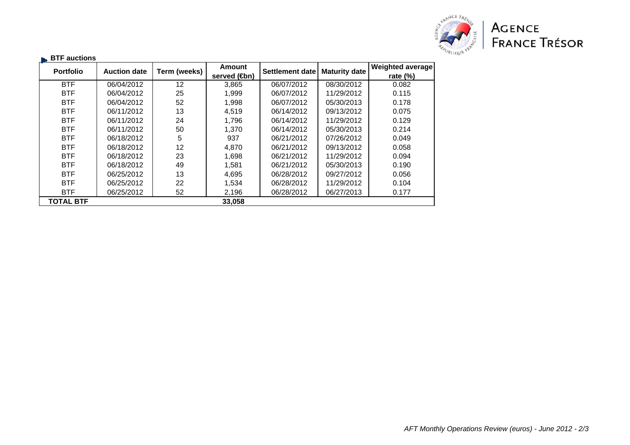

| <b>Portfolio</b> | <b>Auction date</b> | Term (weeks) | <b>Amount</b> | Settlement date | <b>Maturity date</b> | <b>Weighted average</b> |
|------------------|---------------------|--------------|---------------|-----------------|----------------------|-------------------------|
|                  |                     |              | served (sm)   |                 |                      | rate $(\%)$             |
| <b>BTF</b>       | 06/04/2012          | 12           | 3,865         | 06/07/2012      | 08/30/2012           | 0.082                   |
| <b>BTF</b>       | 06/04/2012          | 25           | 1.999         | 06/07/2012      | 11/29/2012           | 0.115                   |
| <b>BTF</b>       | 06/04/2012          | 52           | 1,998         | 06/07/2012      | 05/30/2013           | 0.178                   |
| <b>BTF</b>       | 06/11/2012          | 13           | 4,519         | 06/14/2012      | 09/13/2012           | 0.075                   |
| <b>BTF</b>       | 06/11/2012          | 24           | 1.796         | 06/14/2012      | 11/29/2012           | 0.129                   |
| <b>BTF</b>       | 06/11/2012          | 50           | 1.370         | 06/14/2012      | 05/30/2013           | 0.214                   |
| <b>BTF</b>       | 06/18/2012          | 5            | 937           | 06/21/2012      | 07/26/2012           | 0.049                   |
| <b>BTF</b>       | 06/18/2012          | 12           | 4,870         | 06/21/2012      | 09/13/2012           | 0.058                   |
| <b>BTF</b>       | 06/18/2012          | 23           | 1,698         | 06/21/2012      | 11/29/2012           | 0.094                   |
| <b>BTF</b>       | 06/18/2012          | 49           | 1,581         | 06/21/2012      | 05/30/2013           | 0.190                   |
| <b>BTF</b>       | 06/25/2012          | 13           | 4,695         | 06/28/2012      | 09/27/2012           | 0.056                   |
| <b>BTF</b>       | 06/25/2012          | 22           | 1,534         | 06/28/2012      | 11/29/2012           | 0.104                   |
| <b>BTF</b>       | 06/25/2012          | 52           | 2,196         | 06/28/2012      | 06/27/2013           | 0.177                   |
| <b>TOTAL BTF</b> |                     |              | 33,058        |                 |                      |                         |